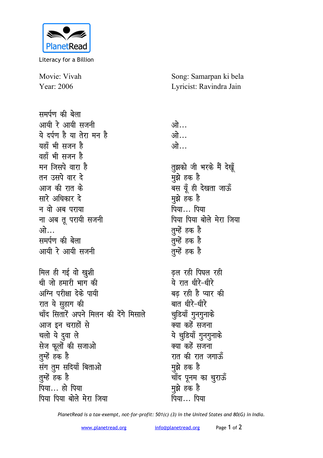

Literacy for a Billion

Movie: Vivah Year: 2006

समर्पण की बेला आयी रे आयी सजनी ये दर्पण है या तेरा मन है यहाँ भी सजन है वहाँ भी सजन है मन जिसपे वारा है तन उसपे वार टे आज की रात के सारे अधिकार दे न वो अब पराया ना अब तू परायी सजनी ओ समर्पण की बेला आयी रे आयी सजनी मिल ही गई वो खुशी थी जो हमारी भाग की अग्नि परीक्षा देके पायी रात ये सुहाग की चाँद सितारें अपने मिलन की देंगे मिसाले आज इन चराहों से चलो ये दुवा ले सेज फूलों की सजाओ तुम्हें हक है संग तुम सदियाँ बिताओ तुम्हें हक है पिया... हो पिया पिया पिया बोले मेरा जिया

Song: Samarpan ki bela Lyricist: Ravindra Jain

ओ… ओ… ओ… तुझको जी भरके मैं देखूँ मुझे हक है बस यूँ ही देखता जाऊँ मुझे हक है पिया... पिया पिया पिया बोले मेरा जिया तुम्हें हक है तुम्हें हक है तुम्हें हक है ढल रही पिघल रही ये रात धीरे-धीरे बढ रही है प्यार की बात धीरे-धीरे चूडियाँ गुनगुनाके क्या कहें सजना ये चूडियाँ गुनगुनाके क्या कहें सजना रात की रात जगाऊँ मझे हक है चाँद पूनम का चुराऊँ मुझे हक है पिया पिया

PlanetRead is a tax-exempt, not-for-profit: 501(c) (3) in the United States and 80(G) in India.